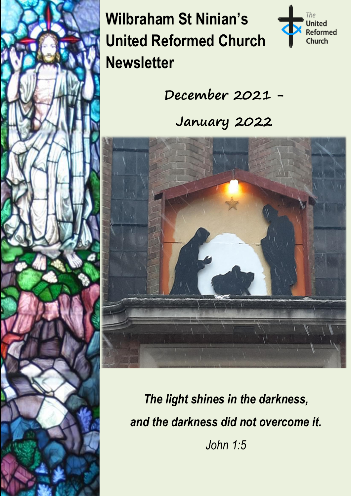

i

**Stained Glass Window by Francis Spear**



**December 2021 -**

**January 2022**



*The light shines in the darkness, and the darkness did not overcome it.*

*John 1:5*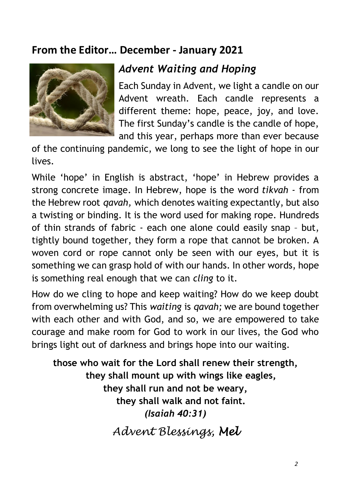### **From the Editor… December - January 2021**



#### *Advent Waiting and Hoping*

Each Sunday in Advent, we light a candle on our Advent wreath. Each candle represents a different theme: hope, peace, joy, and love. The first Sunday's candle is the candle of hope, and this year, perhaps more than ever because

of the continuing pandemic, we long to see the light of hope in our lives.

While 'hope' in English is abstract, 'hope' in Hebrew provides a strong concrete image. In Hebrew, hope is the word *tikvah -* from the Hebrew root *qavah,* which denotes waiting expectantly, but also a twisting or binding. It is the word used for making rope. Hundreds of thin strands of fabric - each one alone could easily snap – but, tightly bound together, they form a rope that cannot be broken. A woven cord or rope cannot only be seen with our eyes, but it is something we can grasp hold of with our hands. In other words, hope is something real enough that we can *cling* to it.

How do we cling to hope and keep waiting? How do we keep doubt from overwhelming us? This *waiting* is *qavah;* we are bound together with each other and with God, and so, we are empowered to take courage and make room for God to work in our lives, the God who brings light out of darkness and brings hope into our waiting.

**those who wait for the Lord shall renew their strength, they shall mount up with wings like eagles, they shall run and not be weary, they shall walk and not faint.**  *(Isaiah 40:31) Advent Blessings, Mel*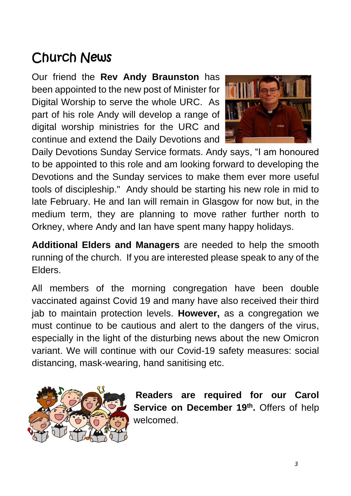## Church News

Our friend the **Rev Andy Braunston** has been appointed to the new post of Minister for Digital Worship to serve the whole URC. As part of his role Andy will develop a range of digital worship ministries for the URC and continue and extend the Daily Devotions and



Daily Devotions Sunday Service formats. Andy says, "I am honoured to be appointed to this role and am looking forward to developing the Devotions and the Sunday services to make them ever more useful tools of discipleship." Andy should be starting his new role in mid to late February. He and Ian will remain in Glasgow for now but, in the medium term, they are planning to move rather further north to Orkney, where Andy and Ian have spent many happy holidays.

**Additional Elders and Managers** are needed to help the smooth running of the church. If you are interested please speak to any of the Elders.

All members of the morning congregation have been double vaccinated against Covid 19 and many have also received their third jab to maintain protection levels. **However,** as a congregation we must continue to be cautious and alert to the dangers of the virus, especially in the light of the disturbing news about the new Omicron variant. We will continue with our Covid-19 safety measures: social distancing, mask-wearing, hand sanitising etc.



**Readers are required for our Carol Service on December 19th .** Offers of help welcomed.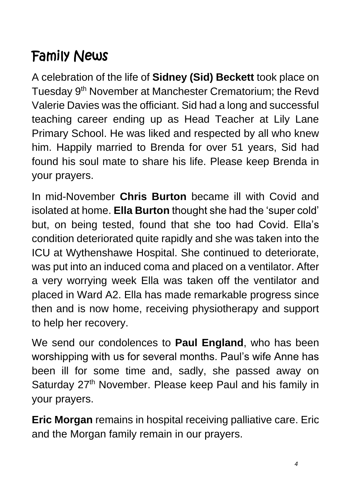# Family News

A celebration of the life of **Sidney (Sid) Beckett** took place on Tuesday 9<sup>th</sup> November at Manchester Crematorium; the Revd Valerie Davies was the officiant. Sid had a long and successful teaching career ending up as Head Teacher at Lily Lane Primary School. He was liked and respected by all who knew him. Happily married to Brenda for over 51 years, Sid had found his soul mate to share his life. Please keep Brenda in your prayers.

In mid-November **Chris Burton** became ill with Covid and isolated at home. **Ella Burton** thought she had the 'super cold' but, on being tested, found that she too had Covid. Ella's condition deteriorated quite rapidly and she was taken into the ICU at Wythenshawe Hospital. She continued to deteriorate, was put into an induced coma and placed on a ventilator. After a very worrying week Ella was taken off the ventilator and placed in Ward A2. Ella has made remarkable progress since then and is now home, receiving physiotherapy and support to help her recovery.

We send our condolences to **Paul England**, who has been worshipping with us for several months. Paul's wife Anne has been ill for some time and, sadly, she passed away on Saturday 27<sup>th</sup> November. Please keep Paul and his family in your prayers.

**Eric Morgan** remains in hospital receiving palliative care. Eric and the Morgan family remain in our prayers.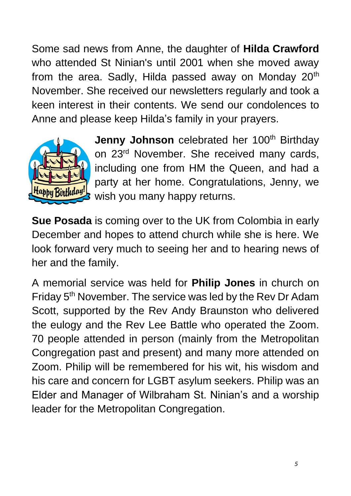Some sad news from Anne, the daughter of **Hilda Crawford** who attended St Ninian's until 2001 when she moved away from the area. Sadly, Hilda passed away on Monday  $20<sup>th</sup>$ November. She received our newsletters regularly and took a keen interest in their contents. We send our condolences to Anne and please keep Hilda's family in your prayers.



**Jenny Johnson** celebrated her 100<sup>th</sup> Birthday on 23<sup>rd</sup> November. She received many cards, including one from HM the Queen, and had a party at her home. Congratulations, Jenny, we wish you many happy returns.

**Sue Posada** is coming over to the UK from Colombia in early December and hopes to attend church while she is here. We look forward very much to seeing her and to hearing news of her and the family.

A memorial service was held for **Philip Jones** in church on Friday 5<sup>th</sup> November. The service was led by the Rev Dr Adam Scott, supported by the Rev Andy Braunston who delivered the eulogy and the Rev Lee Battle who operated the Zoom. 70 people attended in person (mainly from the Metropolitan Congregation past and present) and many more attended on Zoom. Philip will be remembered for his wit, his wisdom and his care and concern for LGBT asylum seekers. Philip was an Elder and Manager of Wilbraham St. Ninian's and a worship leader for the Metropolitan Congregation.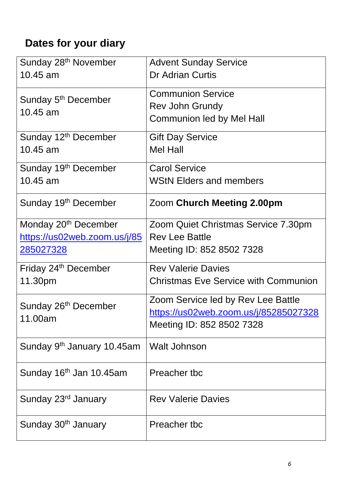## **Dates for your diary**

| Sunday 28 <sup>th</sup> November       | <b>Advent Sunday Service</b>                |
|----------------------------------------|---------------------------------------------|
| 10.45 am                               | <b>Dr Adrian Curtis</b>                     |
|                                        | <b>Communion Service</b>                    |
| Sunday 5 <sup>th</sup> December        | <b>Rev John Grundy</b>                      |
| 10.45 am                               | <b>Communion led by Mel Hall</b>            |
| Sunday 12 <sup>th</sup> December       | <b>Gift Day Service</b>                     |
| 10.45 am                               | <b>Mel Hall</b>                             |
| Sunday 19 <sup>th</sup> December       | <b>Carol Service</b>                        |
| 10.45 am                               | <b>WStN Elders and members</b>              |
| Sunday 19 <sup>th</sup> December       | Zoom Church Meeting 2.00pm                  |
| Monday 20 <sup>th</sup> December       | Zoom Quiet Christmas Service 7.30pm         |
| <u> https://us02web.zoom.us/j/85</u>   | <b>Rev Lee Battle</b>                       |
| 285027328                              | Meeting ID: 852 8502 7328                   |
| Friday 24 <sup>th</sup> December       | <b>Rev Valerie Davies</b>                   |
| 11.30pm                                | <b>Christmas Eve Service with Communion</b> |
| Sunday 26 <sup>th</sup> December       | Zoom Service led by Rev Lee Battle          |
| 11.00am                                | https://us02web.zoom.us/j/85285027328       |
|                                        | Meeting ID: 852 8502 7328                   |
| Sunday 9 <sup>th</sup> January 10.45am | <b>Walt Johnson</b>                         |
| Sunday 16 <sup>th</sup> Jan 10.45am    | Preacher tbc                                |
| Sunday 23 <sup>rd</sup> January        | <b>Rev Valerie Davies</b>                   |
| Sunday 30 <sup>th</sup> January        | Preacher tbc                                |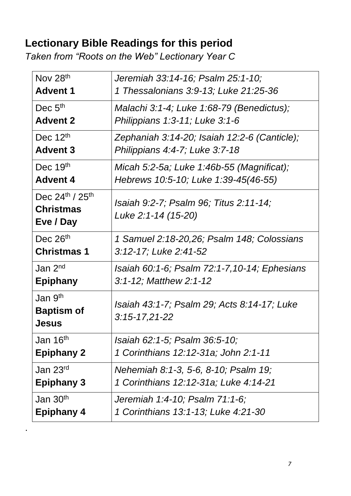## **Lectionary Bible Readings for this period**

*Taken from "Roots on the Web" Lectionary Year C*

.

| Nov $28th$                                                 | Jeremiah 33:14-16; Psalm 25:1-10;                                  |
|------------------------------------------------------------|--------------------------------------------------------------------|
| <b>Advent 1</b>                                            | 1 Thessalonians 3:9-13; Luke 21:25-36                              |
| Dec $5th$                                                  | Malachi 3:1-4; Luke 1:68-79 (Benedictus);                          |
| <b>Advent 2</b>                                            | Philippians 1:3-11; Luke 3:1-6                                     |
| Dec $12th$                                                 | Zephaniah 3:14-20; Isaiah 12:2-6 (Canticle);                       |
| <b>Advent 3</b>                                            | Philippians 4:4-7; Luke 3:7-18                                     |
| Dec $19th$                                                 | Micah 5:2-5a; Luke 1:46b-55 (Magnificat);                          |
| <b>Advent 4</b>                                            | Hebrews 10:5-10; Luke 1:39-45(46-55)                               |
| Dec $24^{th}$ / $25^{th}$<br><b>Christmas</b><br>Eve / Day | Isaiah 9:2-7; Psalm 96; Titus 2:11-14;<br>Luke 2:1-14 (15-20)      |
| Dec $26th$                                                 | 1 Samuel 2:18-20,26; Psalm 148; Colossians                         |
| <b>Christmas 1</b>                                         | 3:12-17; Luke 2:41-52                                              |
| Jan 2 <sup>nd</sup>                                        | Isaiah 60:1-6; Psalm 72:1-7,10-14; Ephesians                       |
| <b>Epiphany</b>                                            | 3:1-12; Matthew 2:1-12                                             |
| Jan 9 <sup>th</sup><br><b>Baptism of</b><br>Jesus          | Isaiah 43:1-7; Psalm 29; Acts 8:14-17; Luke<br>$3:15 - 17,21 - 22$ |
| Jan 16 <sup>th</sup>                                       | Isaiah 62:1-5; Psalm 36:5-10;                                      |
| <b>Epiphany 2</b>                                          | 1 Corinthians 12:12-31a; John 2:1-11                               |
| Jan 23rd                                                   | Nehemiah 8:1-3, 5-6, 8-10; Psalm 19;                               |
| <b>Epiphany 3</b>                                          | 1 Corinthians 12:12-31a; Luke 4:14-21                              |
| Jan 30 <sup>th</sup>                                       | Jeremiah 1:4-10; Psalm 71:1-6;                                     |
| <b>Epiphany 4</b>                                          | 1 Corinthians 13:1-13; Luke 4:21-30                                |